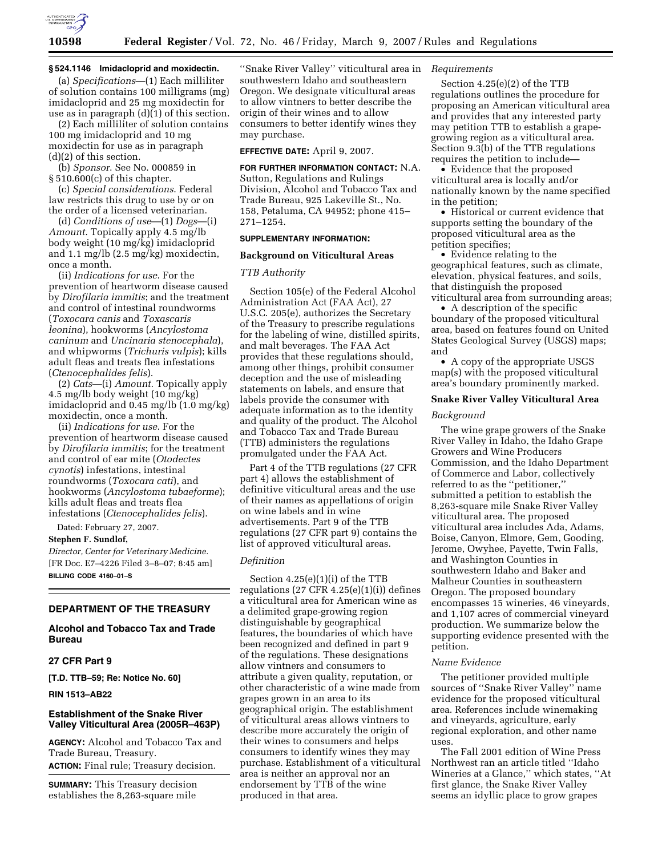

# **§ 524.1146 Imidacloprid and moxidectin.**

(a) *Specifications*—(1) Each milliliter of solution contains 100 milligrams (mg) imidacloprid and 25 mg moxidectin for use as in paragraph (d)(1) of this section. (2) Each milliliter of solution contains

100 mg imidacloprid and 10 mg moxidectin for use as in paragraph (d)(2) of this section.

(b) *Sponsor*. See No. 000859 in § 510.600(c) of this chapter.

(c) *Special considerations*. Federal law restricts this drug to use by or on the order of a licensed veterinarian.

(d) *Conditions of use*—(1) *Dogs*—(i) *Amount*. Topically apply 4.5 mg/lb body weight (10 mg/kg) imidacloprid and 1.1 mg/lb (2.5 mg/kg) moxidectin, once a month.

(ii) *Indications for use*. For the prevention of heartworm disease caused by *Dirofilaria immitis*; and the treatment and control of intestinal roundworms (*Toxocara canis* and *Toxascaris leonina*), hookworms (*Ancylostoma caninum* and *Uncinaria stenocephala*), and whipworms (*Trichuris vulpis*); kills adult fleas and treats flea infestations (*Ctenocephalides felis*).

(2) *Cats*—(i) *Amount*. Topically apply 4.5 mg/lb body weight (10 mg/kg) imidacloprid and 0.45 mg/lb (1.0 mg/kg) moxidectin, once a month.

(ii) *Indications for use*. For the prevention of heartworm disease caused by *Dirofilaria immitis*; for the treatment and control of ear mite (*Otodectes cynotis*) infestations, intestinal roundworms (*Toxocara cati*), and hookworms (*Ancylostoma tubaeforme*); kills adult fleas and treats flea infestations (*Ctenocephalides felis*).

Dated: February 27, 2007.

**Stephen F. Sundlof,** 

*Director, Center for Veterinary Medicine.*  [FR Doc. E7–4226 Filed 3–8–07; 8:45 am] **BILLING CODE 4160–01–S** 

# **DEPARTMENT OF THE TREASURY**

# **Alcohol and Tobacco Tax and Trade Bureau**

### **27 CFR Part 9**

**[T.D. TTB–59; Re: Notice No. 60]** 

#### **RIN 1513–AB22**

# **Establishment of the Snake River Valley Viticultural Area (2005R–463P)**

**AGENCY:** Alcohol and Tobacco Tax and Trade Bureau, Treasury.

**ACTION:** Final rule; Treasury decision.

**SUMMARY:** This Treasury decision establishes the 8,263-square mile

''Snake River Valley'' viticultural area in southwestern Idaho and southeastern Oregon. We designate viticultural areas to allow vintners to better describe the origin of their wines and to allow consumers to better identify wines they may purchase.

# **EFFECTIVE DATE:** April 9, 2007.

# **FOR FURTHER INFORMATION CONTACT:** N.A.

Sutton, Regulations and Rulings Division, Alcohol and Tobacco Tax and Trade Bureau, 925 Lakeville St., No. 158, Petaluma, CA 94952; phone 415– 271–1254.

# **SUPPLEMENTARY INFORMATION:**

# **Background on Viticultural Areas**

# *TTB Authority*

Section 105(e) of the Federal Alcohol Administration Act (FAA Act), 27 U.S.C. 205(e), authorizes the Secretary of the Treasury to prescribe regulations for the labeling of wine, distilled spirits, and malt beverages. The FAA Act provides that these regulations should, among other things, prohibit consumer deception and the use of misleading statements on labels, and ensure that labels provide the consumer with adequate information as to the identity and quality of the product. The Alcohol and Tobacco Tax and Trade Bureau (TTB) administers the regulations promulgated under the FAA Act.

Part 4 of the TTB regulations (27 CFR part 4) allows the establishment of definitive viticultural areas and the use of their names as appellations of origin on wine labels and in wine advertisements. Part 9 of the TTB regulations (27 CFR part 9) contains the list of approved viticultural areas.

#### *Definition*

Section 4.25(e)(1)(i) of the TTB regulations  $(27 \text{ CFR } 4.25(e)(1)(i))$  defines a viticultural area for American wine as a delimited grape-growing region distinguishable by geographical features, the boundaries of which have been recognized and defined in part 9 of the regulations. These designations allow vintners and consumers to attribute a given quality, reputation, or other characteristic of a wine made from grapes grown in an area to its geographical origin. The establishment of viticultural areas allows vintners to describe more accurately the origin of their wines to consumers and helps consumers to identify wines they may purchase. Establishment of a viticultural area is neither an approval nor an endorsement by TTB of the wine produced in that area.

# *Requirements*

Section 4.25(e)(2) of the TTB regulations outlines the procedure for proposing an American viticultural area and provides that any interested party may petition TTB to establish a grapegrowing region as a viticultural area. Section 9.3(b) of the TTB regulations requires the petition to include—

• Evidence that the proposed viticultural area is locally and/or nationally known by the name specified in the petition;

• Historical or current evidence that supports setting the boundary of the proposed viticultural area as the petition specifies;

• Evidence relating to the geographical features, such as climate, elevation, physical features, and soils, that distinguish the proposed viticultural area from surrounding areas;

• A description of the specific boundary of the proposed viticultural area, based on features found on United States Geological Survey (USGS) maps; and

• A copy of the appropriate USGS map(s) with the proposed viticultural area's boundary prominently marked.

# **Snake River Valley Viticultural Area**

### *Background*

The wine grape growers of the Snake River Valley in Idaho, the Idaho Grape Growers and Wine Producers Commission, and the Idaho Department of Commerce and Labor, collectively referred to as the ''petitioner,'' submitted a petition to establish the 8,263-square mile Snake River Valley viticultural area. The proposed viticultural area includes Ada, Adams, Boise, Canyon, Elmore, Gem, Gooding, Jerome, Owyhee, Payette, Twin Falls, and Washington Counties in southwestern Idaho and Baker and Malheur Counties in southeastern Oregon. The proposed boundary encompasses 15 wineries, 46 vineyards, and 1,107 acres of commercial vineyard production. We summarize below the supporting evidence presented with the petition.

### *Name Evidence*

The petitioner provided multiple sources of ''Snake River Valley'' name evidence for the proposed viticultural area. References include winemaking and vineyards, agriculture, early regional exploration, and other name uses.

The Fall 2001 edition of Wine Press Northwest ran an article titled ''Idaho Wineries at a Glance,'' which states, ''At first glance, the Snake River Valley seems an idyllic place to grow grapes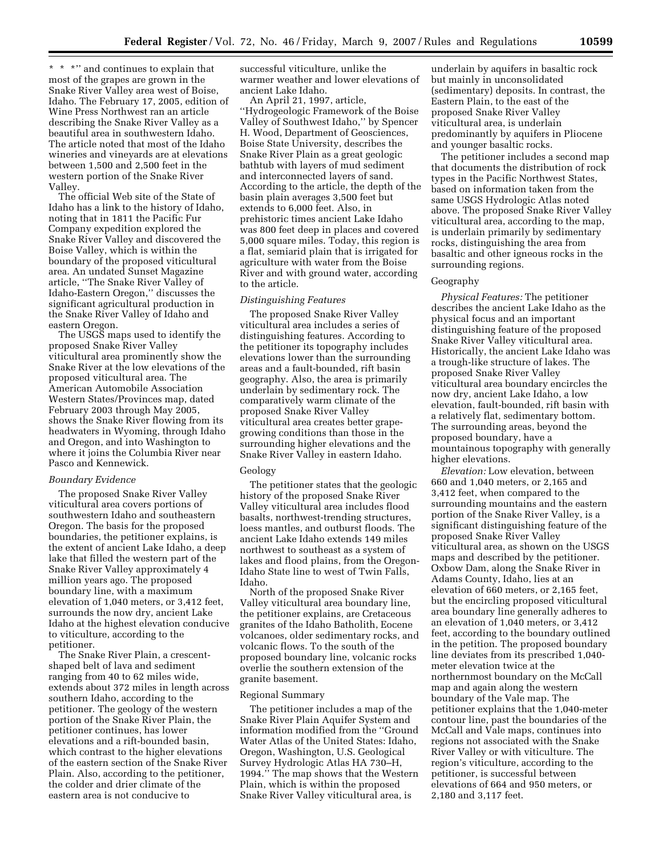\*\*\*'' and continues to explain that most of the grapes are grown in the Snake River Valley area west of Boise, Idaho. The February 17, 2005, edition of Wine Press Northwest ran an article describing the Snake River Valley as a beautiful area in southwestern Idaho. The article noted that most of the Idaho wineries and vineyards are at elevations between 1,500 and 2,500 feet in the western portion of the Snake River Valley.

The official Web site of the State of Idaho has a link to the history of Idaho, noting that in 1811 the Pacific Fur Company expedition explored the Snake River Valley and discovered the Boise Valley, which is within the boundary of the proposed viticultural area. An undated Sunset Magazine article, ''The Snake River Valley of Idaho-Eastern Oregon,'' discusses the significant agricultural production in the Snake River Valley of Idaho and eastern Oregon.

The USGS maps used to identify the proposed Snake River Valley viticultural area prominently show the Snake River at the low elevations of the proposed viticultural area. The American Automobile Association Western States/Provinces map, dated February 2003 through May 2005, shows the Snake River flowing from its headwaters in Wyoming, through Idaho and Oregon, and into Washington to where it joins the Columbia River near Pasco and Kennewick.

# *Boundary Evidence*

The proposed Snake River Valley viticultural area covers portions of southwestern Idaho and southeastern Oregon. The basis for the proposed boundaries, the petitioner explains, is the extent of ancient Lake Idaho, a deep lake that filled the western part of the Snake River Valley approximately 4 million years ago. The proposed boundary line, with a maximum elevation of 1,040 meters, or 3,412 feet, surrounds the now dry, ancient Lake Idaho at the highest elevation conducive to viticulture, according to the petitioner.

The Snake River Plain, a crescentshaped belt of lava and sediment ranging from 40 to 62 miles wide, extends about 372 miles in length across southern Idaho, according to the petitioner. The geology of the western portion of the Snake River Plain, the petitioner continues, has lower elevations and a rift-bounded basin, which contrast to the higher elevations of the eastern section of the Snake River Plain. Also, according to the petitioner, the colder and drier climate of the eastern area is not conducive to

successful viticulture, unlike the warmer weather and lower elevations of ancient Lake Idaho.

An April 21, 1997, article, ''Hydrogeologic Framework of the Boise Valley of Southwest Idaho,'' by Spencer H. Wood, Department of Geosciences, Boise State University, describes the Snake River Plain as a great geologic bathtub with layers of mud sediment and interconnected layers of sand. According to the article, the depth of the basin plain averages 3,500 feet but extends to 6,000 feet. Also, in prehistoric times ancient Lake Idaho was 800 feet deep in places and covered 5,000 square miles. Today, this region is a flat, semiarid plain that is irrigated for agriculture with water from the Boise River and with ground water, according to the article.

### *Distinguishing Features*

The proposed Snake River Valley viticultural area includes a series of distinguishing features. According to the petitioner its topography includes elevations lower than the surrounding areas and a fault-bounded, rift basin geography. Also, the area is primarily underlain by sedimentary rock. The comparatively warm climate of the proposed Snake River Valley viticultural area creates better grapegrowing conditions than those in the surrounding higher elevations and the Snake River Valley in eastern Idaho.

# Geology

The petitioner states that the geologic history of the proposed Snake River Valley viticultural area includes flood basalts, northwest-trending structures, loess mantles, and outburst floods. The ancient Lake Idaho extends 149 miles northwest to southeast as a system of lakes and flood plains, from the Oregon-Idaho State line to west of Twin Falls, Idaho.

North of the proposed Snake River Valley viticultural area boundary line, the petitioner explains, are Cretaceous granites of the Idaho Batholith, Eocene volcanoes, older sedimentary rocks, and volcanic flows. To the south of the proposed boundary line, volcanic rocks overlie the southern extension of the granite basement.

#### Regional Summary

The petitioner includes a map of the Snake River Plain Aquifer System and information modified from the ''Ground Water Atlas of the United States: Idaho, Oregon, Washington, U.S. Geological Survey Hydrologic Atlas HA 730–H, 1994.'' The map shows that the Western Plain, which is within the proposed Snake River Valley viticultural area, is

underlain by aquifers in basaltic rock but mainly in unconsolidated (sedimentary) deposits. In contrast, the Eastern Plain, to the east of the proposed Snake River Valley viticultural area, is underlain predominantly by aquifers in Pliocene and younger basaltic rocks.

The petitioner includes a second map that documents the distribution of rock types in the Pacific Northwest States, based on information taken from the same USGS Hydrologic Atlas noted above. The proposed Snake River Valley viticultural area, according to the map, is underlain primarily by sedimentary rocks, distinguishing the area from basaltic and other igneous rocks in the surrounding regions.

### Geography

*Physical Features:* The petitioner describes the ancient Lake Idaho as the physical focus and an important distinguishing feature of the proposed Snake River Valley viticultural area. Historically, the ancient Lake Idaho was a trough-like structure of lakes. The proposed Snake River Valley viticultural area boundary encircles the now dry, ancient Lake Idaho, a low elevation, fault-bounded, rift basin with a relatively flat, sedimentary bottom. The surrounding areas, beyond the proposed boundary, have a mountainous topography with generally higher elevations.

*Elevation:* Low elevation, between 660 and 1,040 meters, or 2,165 and 3,412 feet, when compared to the surrounding mountains and the eastern portion of the Snake River Valley, is a significant distinguishing feature of the proposed Snake River Valley viticultural area, as shown on the USGS maps and described by the petitioner. Oxbow Dam, along the Snake River in Adams County, Idaho, lies at an elevation of 660 meters, or 2,165 feet, but the encircling proposed viticultural area boundary line generally adheres to an elevation of 1,040 meters, or 3,412 feet, according to the boundary outlined in the petition. The proposed boundary line deviates from its prescribed 1,040 meter elevation twice at the northernmost boundary on the McCall map and again along the western boundary of the Vale map. The petitioner explains that the 1,040-meter contour line, past the boundaries of the McCall and Vale maps, continues into regions not associated with the Snake River Valley or with viticulture. The region's viticulture, according to the petitioner, is successful between elevations of 664 and 950 meters, or 2,180 and 3,117 feet.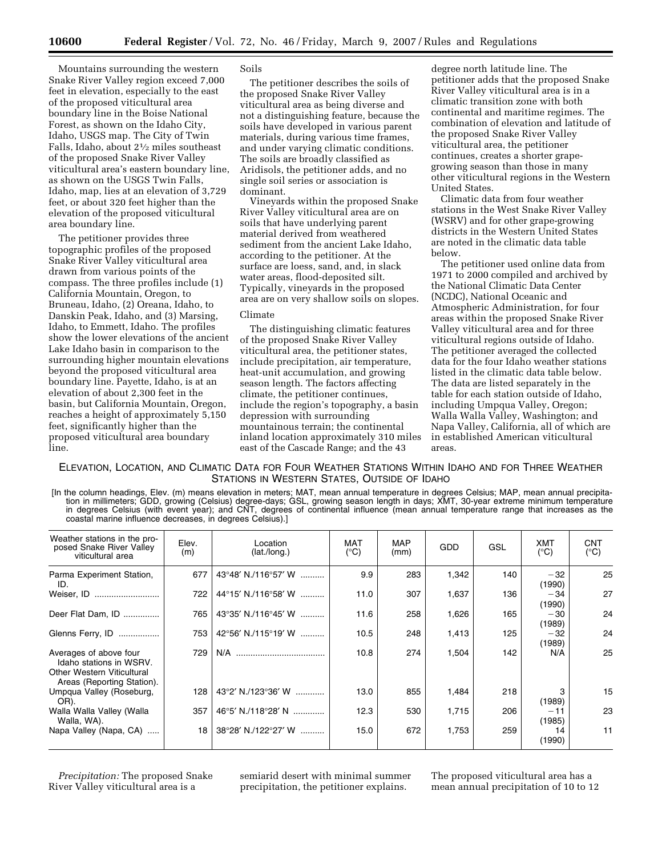Mountains surrounding the western Snake River Valley region exceed 7,000 feet in elevation, especially to the east of the proposed viticultural area boundary line in the Boise National Forest, as shown on the Idaho City, Idaho, USGS map. The City of Twin Falls, Idaho, about 21⁄2 miles southeast of the proposed Snake River Valley viticultural area's eastern boundary line, as shown on the USGS Twin Falls, Idaho, map, lies at an elevation of 3,729 feet, or about 320 feet higher than the elevation of the proposed viticultural area boundary line.

The petitioner provides three topographic profiles of the proposed Snake River Valley viticultural area drawn from various points of the compass. The three profiles include (1) California Mountain, Oregon, to Bruneau, Idaho, (2) Oreana, Idaho, to Danskin Peak, Idaho, and (3) Marsing, Idaho, to Emmett, Idaho. The profiles show the lower elevations of the ancient Lake Idaho basin in comparison to the surrounding higher mountain elevations beyond the proposed viticultural area boundary line. Payette, Idaho, is at an elevation of about 2,300 feet in the basin, but California Mountain, Oregon, reaches a height of approximately 5,150 feet, significantly higher than the proposed viticultural area boundary line.

# Soils

The petitioner describes the soils of the proposed Snake River Valley viticultural area as being diverse and not a distinguishing feature, because the soils have developed in various parent materials, during various time frames, and under varying climatic conditions. The soils are broadly classified as Aridisols, the petitioner adds, and no single soil series or association is dominant.

Vineyards within the proposed Snake River Valley viticultural area are on soils that have underlying parent material derived from weathered sediment from the ancient Lake Idaho, according to the petitioner. At the surface are loess, sand, and, in slack water areas, flood-deposited silt. Typically, vineyards in the proposed area are on very shallow soils on slopes.

### Climate

The distinguishing climatic features of the proposed Snake River Valley viticultural area, the petitioner states, include precipitation, air temperature, heat-unit accumulation, and growing season length. The factors affecting climate, the petitioner continues, include the region's topography, a basin depression with surrounding mountainous terrain; the continental inland location approximately 310 miles east of the Cascade Range; and the 43

degree north latitude line. The petitioner adds that the proposed Snake River Valley viticultural area is in a climatic transition zone with both continental and maritime regimes. The combination of elevation and latitude of the proposed Snake River Valley viticultural area, the petitioner continues, creates a shorter grapegrowing season than those in many other viticultural regions in the Western United States.

Climatic data from four weather stations in the West Snake River Valley (WSRV) and for other grape-growing districts in the Western United States are noted in the climatic data table below.

The petitioner used online data from 1971 to 2000 compiled and archived by the National Climatic Data Center (NCDC), National Oceanic and Atmospheric Administration, for four areas within the proposed Snake River Valley viticultural area and for three viticultural regions outside of Idaho. The petitioner averaged the collected data for the four Idaho weather stations listed in the climatic data table below. The data are listed separately in the table for each station outside of Idaho, including Umpqua Valley, Oregon; Walla Walla Valley, Washington; and Napa Valley, California, all of which are in established American viticultural areas.

# ELEVATION, LOCATION, AND CLIMATIC DATA FOR FOUR WEATHER STATIONS WITHIN IDAHO AND FOR THREE WEATHER STATIONS IN WESTERN STATES, OUTSIDE OF IDAHO

[In the column headings, Elev. (m) means elevation in meters; MAT, mean annual temperature in degrees Celsius; MAP, mean annual precipitation in millimeters; GDD, growing (Celsius) degree-days; GSL, growing season length in days; XMT, 30-year extreme minimum temperature in degrees Celsius (with event year); and CNT, degrees of continental influence (mean annual temperature range that increases as the coastal marine influence decreases, in degrees Celsius).]

| Weather stations in the pro-<br>posed Snake River Valley<br>viticultural area                                        | Elev.<br>(m) | Location<br>(lat./lonq.)               | MAT<br>$(^{\circ}C)$ | <b>MAP</b><br>(mm) | GDD   | GSL | XMT<br>$(^{\circ}C)$ | <b>CNT</b><br>$(^{\circ}C)$ |
|----------------------------------------------------------------------------------------------------------------------|--------------|----------------------------------------|----------------------|--------------------|-------|-----|----------------------|-----------------------------|
| Parma Experiment Station,<br>ID.                                                                                     | 677          | $43^{\circ}48'$ N./116 $^{\circ}57'$ W | 9.9                  | 283                | 1,342 | 140 | $-32$<br>(1990)      | 25                          |
| Weiser, ID                                                                                                           | 722          | 44°15′ N./116°58′ W                    | 11.0                 | 307                | 1,637 | 136 | $-34$<br>(1990)      | 27                          |
| Deer Flat Dam, ID                                                                                                    | 765          | $43^{\circ}35'$ N./116 $^{\circ}45'$ W | 11.6                 | 258                | 1,626 | 165 | $-30$<br>(1989)      | 24                          |
| Glenns Ferry, ID                                                                                                     | 753          | 42°56′ N./115°19′ W                    | 10.5                 | 248                | 1,413 | 125 | $-32$<br>(1989)      | 24                          |
| Averages of above four<br>Idaho stations in WSRV.<br><b>Other Western Viticultural</b><br>Areas (Reporting Station). | 729          | N/A                                    | 10.8                 | 274                | 1,504 | 142 | N/A                  | 25                          |
| Umpqua Valley (Roseburg,<br>OR).                                                                                     | 128          | $43^{\circ}2'$ N./123 $^{\circ}36'$ W  | 13.0                 | 855                | 1,484 | 218 | (1989)               | 15                          |
| Walla Walla Valley (Walla<br>Walla, WA).                                                                             | 357          | $46^{\circ}5'$ N./118 $^{\circ}28'$ N  | 12.3                 | 530                | 1,715 | 206 | $-11$<br>(1985)      | 23                          |
| Napa Valley (Napa, CA)                                                                                               | 18           | $38^{\circ}28'$ N./122 $^{\circ}27'$ W | 15.0                 | 672                | 1,753 | 259 | 14<br>(1990)         | 11                          |

*Precipitation:* The proposed Snake River Valley viticultural area is a

semiarid desert with minimal summer precipitation, the petitioner explains.

The proposed viticultural area has a mean annual precipitation of 10 to 12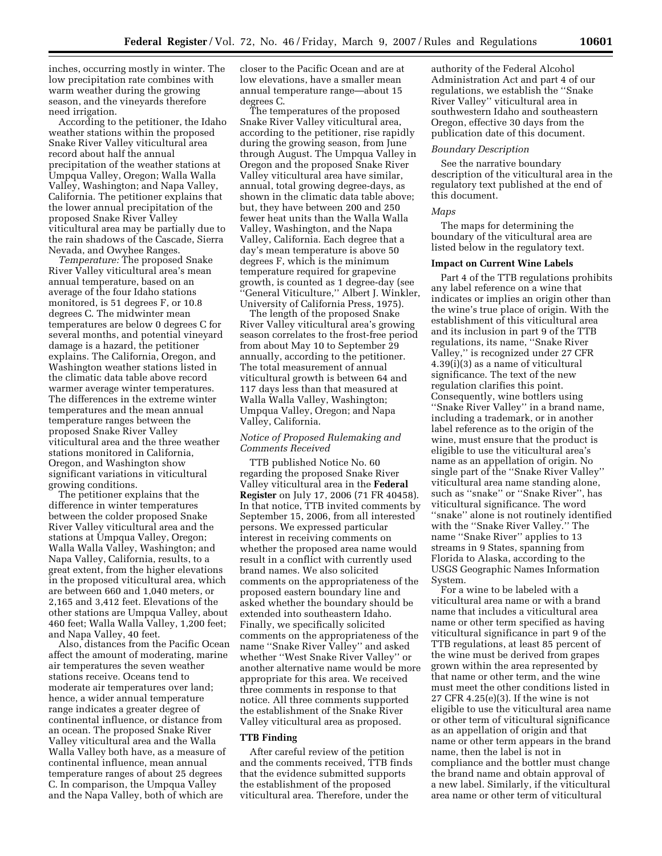inches, occurring mostly in winter. The low precipitation rate combines with warm weather during the growing season, and the vineyards therefore need irrigation.

According to the petitioner, the Idaho weather stations within the proposed Snake River Valley viticultural area record about half the annual precipitation of the weather stations at Umpqua Valley, Oregon; Walla Walla Valley, Washington; and Napa Valley, California. The petitioner explains that the lower annual precipitation of the proposed Snake River Valley viticultural area may be partially due to the rain shadows of the Cascade, Sierra Nevada, and Owyhee Ranges.

*Temperature:* The proposed Snake River Valley viticultural area's mean annual temperature, based on an average of the four Idaho stations monitored, is 51 degrees F, or 10.8 degrees C. The midwinter mean temperatures are below 0 degrees C for several months, and potential vineyard damage is a hazard, the petitioner explains. The California, Oregon, and Washington weather stations listed in the climatic data table above record warmer average winter temperatures. The differences in the extreme winter temperatures and the mean annual temperature ranges between the proposed Snake River Valley viticultural area and the three weather stations monitored in California, Oregon, and Washington show significant variations in viticultural growing conditions.

The petitioner explains that the difference in winter temperatures between the colder proposed Snake River Valley viticultural area and the stations at Umpqua Valley, Oregon; Walla Walla Valley, Washington; and Napa Valley, California, results, to a great extent, from the higher elevations in the proposed viticultural area, which are between 660 and 1,040 meters, or 2,165 and 3,412 feet. Elevations of the other stations are Umpqua Valley, about 460 feet; Walla Walla Valley, 1,200 feet; and Napa Valley, 40 feet.

Also, distances from the Pacific Ocean affect the amount of moderating, marine air temperatures the seven weather stations receive. Oceans tend to moderate air temperatures over land; hence, a wider annual temperature range indicates a greater degree of continental influence, or distance from an ocean. The proposed Snake River Valley viticultural area and the Walla Walla Valley both have, as a measure of continental influence, mean annual temperature ranges of about 25 degrees C. In comparison, the Umpqua Valley and the Napa Valley, both of which are

closer to the Pacific Ocean and are at low elevations, have a smaller mean annual temperature range—about 15 degrees C.

The temperatures of the proposed Snake River Valley viticultural area, according to the petitioner, rise rapidly during the growing season, from June through August. The Umpqua Valley in Oregon and the proposed Snake River Valley viticultural area have similar, annual, total growing degree-days, as shown in the climatic data table above; but, they have between 200 and 250 fewer heat units than the Walla Walla Valley, Washington, and the Napa Valley, California. Each degree that a day's mean temperature is above 50 degrees F, which is the minimum temperature required for grapevine growth, is counted as 1 degree-day (see ''General Viticulture,'' Albert J. Winkler, University of California Press, 1975).

The length of the proposed Snake River Valley viticultural area's growing season correlates to the frost-free period from about May 10 to September 29 annually, according to the petitioner. The total measurement of annual viticultural growth is between 64 and 117 days less than that measured at Walla Walla Valley, Washington; Umpqua Valley, Oregon; and Napa Valley, California.

# *Notice of Proposed Rulemaking and Comments Received*

TTB published Notice No. 60 regarding the proposed Snake River Valley viticultural area in the **Federal Register** on July 17, 2006 (71 FR 40458). In that notice, TTB invited comments by September 15, 2006, from all interested persons. We expressed particular interest in receiving comments on whether the proposed area name would result in a conflict with currently used brand names. We also solicited comments on the appropriateness of the proposed eastern boundary line and asked whether the boundary should be extended into southeastern Idaho. Finally, we specifically solicited comments on the appropriateness of the name ''Snake River Valley'' and asked whether ''West Snake River Valley'' or another alternative name would be more appropriate for this area. We received three comments in response to that notice. All three comments supported the establishment of the Snake River Valley viticultural area as proposed.

# **TTB Finding**

After careful review of the petition and the comments received, TTB finds that the evidence submitted supports the establishment of the proposed viticultural area. Therefore, under the

authority of the Federal Alcohol Administration Act and part 4 of our regulations, we establish the ''Snake River Valley'' viticultural area in southwestern Idaho and southeastern Oregon, effective 30 days from the publication date of this document.

### *Boundary Description*

See the narrative boundary description of the viticultural area in the regulatory text published at the end of this document.

# *Maps*

The maps for determining the boundary of the viticultural area are listed below in the regulatory text.

#### **Impact on Current Wine Labels**

Part 4 of the TTB regulations prohibits any label reference on a wine that indicates or implies an origin other than the wine's true place of origin. With the establishment of this viticultural area and its inclusion in part 9 of the TTB regulations, its name, ''Snake River Valley,'' is recognized under 27 CFR 4.39(i)(3) as a name of viticultural significance. The text of the new regulation clarifies this point. Consequently, wine bottlers using ''Snake River Valley'' in a brand name, including a trademark, or in another label reference as to the origin of the wine, must ensure that the product is eligible to use the viticultural area's name as an appellation of origin. No single part of the ''Snake River Valley'' viticultural area name standing alone, such as ''snake'' or ''Snake River'', has viticultural significance. The word ''snake'' alone is not routinely identified with the ''Snake River Valley.'' The name ''Snake River'' applies to 13 streams in 9 States, spanning from Florida to Alaska, according to the USGS Geographic Names Information System.

For a wine to be labeled with a viticultural area name or with a brand name that includes a viticultural area name or other term specified as having viticultural significance in part 9 of the TTB regulations, at least 85 percent of the wine must be derived from grapes grown within the area represented by that name or other term, and the wine must meet the other conditions listed in 27 CFR 4.25(e)(3). If the wine is not eligible to use the viticultural area name or other term of viticultural significance as an appellation of origin and that name or other term appears in the brand name, then the label is not in compliance and the bottler must change the brand name and obtain approval of a new label. Similarly, if the viticultural area name or other term of viticultural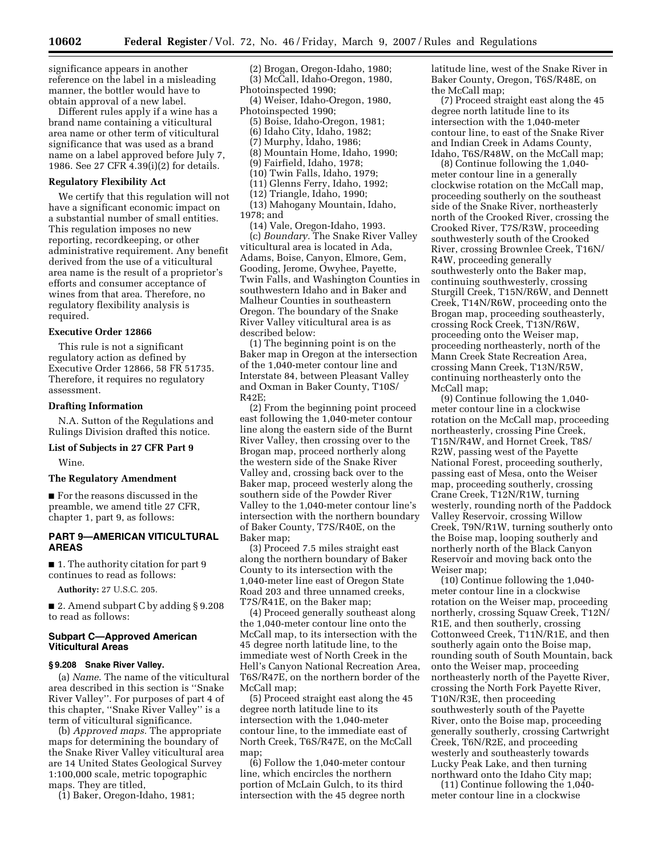significance appears in another reference on the label in a misleading manner, the bottler would have to obtain approval of a new label.

Different rules apply if a wine has a brand name containing a viticultural area name or other term of viticultural significance that was used as a brand name on a label approved before July 7, 1986. See 27 CFR 4.39(i)(2) for details.

# **Regulatory Flexibility Act**

We certify that this regulation will not have a significant economic impact on a substantial number of small entities. This regulation imposes no new reporting, recordkeeping, or other administrative requirement. Any benefit derived from the use of a viticultural area name is the result of a proprietor's efforts and consumer acceptance of wines from that area. Therefore, no regulatory flexibility analysis is required.

# **Executive Order 12866**

This rule is not a significant regulatory action as defined by Executive Order 12866, 58 FR 51735. Therefore, it requires no regulatory assessment.

#### **Drafting Information**

N.A. Sutton of the Regulations and Rulings Division drafted this notice.

# **List of Subjects in 27 CFR Part 9**

Wine.

# **The Regulatory Amendment**

■ For the reasons discussed in the preamble, we amend title 27 CFR, chapter 1, part 9, as follows:

# **PART 9—AMERICAN VITICULTURAL AREAS**

■ 1. The authority citation for part 9 continues to read as follows:

**Authority:** 27 U.S.C. 205.

■ 2. Amend subpart C by adding § 9.208 to read as follows:

# **Subpart C—Approved American Viticultural Areas**

# **§ 9.208 Snake River Valley.**

(a) *Name*. The name of the viticultural area described in this section is ''Snake River Valley''. For purposes of part 4 of this chapter, ''Snake River Valley'' is a term of viticultural significance.

(b) *Approved maps.* The appropriate maps for determining the boundary of the Snake River Valley viticultural area are 14 United States Geological Survey 1:100,000 scale, metric topographic maps. They are titled,

(1) Baker, Oregon-Idaho, 1981;

(2) Brogan, Oregon-Idaho, 1980; (3) McCall, Idaho-Oregon, 1980, Photoinspected 1990;

(4) Weiser, Idaho-Oregon, 1980, Photoinspected 1990;

(5) Boise, Idaho-Oregon, 1981;

- (6) Idaho City, Idaho, 1982;
- (7) Murphy, Idaho, 1986;
- (8) Mountain Home, Idaho, 1990; (9) Fairfield, Idaho, 1978;
- (10) Twin Falls, Idaho, 1979;
- (11) Glenns Ferry, Idaho, 1992;
- (12) Triangle, Idaho, 1990;

(13) Mahogany Mountain, Idaho, 1978; and

(14) Vale, Oregon-Idaho, 1993. (c) *Boundary.* The Snake River Valley viticultural area is located in Ada, Adams, Boise, Canyon, Elmore, Gem, Gooding, Jerome, Owyhee, Payette, Twin Falls, and Washington Counties in southwestern Idaho and in Baker and Malheur Counties in southeastern Oregon. The boundary of the Snake River Valley viticultural area is as described below:

(1) The beginning point is on the Baker map in Oregon at the intersection of the 1,040-meter contour line and Interstate 84, between Pleasant Valley and Oxman in Baker County, T10S/ R42E;

(2) From the beginning point proceed east following the 1,040-meter contour line along the eastern side of the Burnt River Valley, then crossing over to the Brogan map, proceed northerly along the western side of the Snake River Valley and, crossing back over to the Baker map, proceed westerly along the southern side of the Powder River Valley to the 1,040-meter contour line's intersection with the northern boundary of Baker County, T7S/R40E, on the Baker map;

(3) Proceed 7.5 miles straight east along the northern boundary of Baker County to its intersection with the 1,040-meter line east of Oregon State Road 203 and three unnamed creeks, T7S/R41E, on the Baker map;

(4) Proceed generally southeast along the 1,040-meter contour line onto the McCall map, to its intersection with the 45 degree north latitude line, to the immediate west of North Creek in the Hell's Canyon National Recreation Area, T6S/R47E, on the northern border of the McCall map;

(5) Proceed straight east along the 45 degree north latitude line to its intersection with the 1,040-meter contour line, to the immediate east of North Creek, T6S/R47E, on the McCall map

(6) Follow the 1,040-meter contour line, which encircles the northern portion of McLain Gulch, to its third intersection with the 45 degree north latitude line, west of the Snake River in Baker County, Oregon, T6S/R48E, on the McCall map;

(7) Proceed straight east along the 45 degree north latitude line to its intersection with the 1,040-meter contour line, to east of the Snake River and Indian Creek in Adams County, Idaho, T6S/R48W, on the McCall map;

(8) Continue following the 1,040 meter contour line in a generally clockwise rotation on the McCall map, proceeding southerly on the southeast side of the Snake River, northeasterly north of the Crooked River, crossing the Crooked River, T7S/R3W, proceeding southwesterly south of the Crooked River, crossing Brownlee Creek, T16N/ R4W, proceeding generally southwesterly onto the Baker map, continuing southwesterly, crossing Sturgill Creek, T15N/R6W, and Dennett Creek, T14N/R6W, proceeding onto the Brogan map, proceeding southeasterly, crossing Rock Creek, T13N/R6W, proceeding onto the Weiser map, proceeding northeasterly, north of the Mann Creek State Recreation Area, crossing Mann Creek, T13N/R5W, continuing northeasterly onto the McCall map;

(9) Continue following the 1,040 meter contour line in a clockwise rotation on the McCall map, proceeding northeasterly, crossing Pine Creek, T15N/R4W, and Hornet Creek, T8S/ R2W, passing west of the Payette National Forest, proceeding southerly, passing east of Mesa, onto the Weiser map, proceeding southerly, crossing Crane Creek, T12N/R1W, turning westerly, rounding north of the Paddock Valley Reservoir, crossing Willow Creek, T9N/R1W, turning southerly onto the Boise map, looping southerly and northerly north of the Black Canyon Reservoir and moving back onto the Weiser map;

(10) Continue following the 1,040 meter contour line in a clockwise rotation on the Weiser map, proceeding northerly, crossing Squaw Creek, T12N/ R1E, and then southerly, crossing Cottonweed Creek, T11N/R1E, and then southerly again onto the Boise map, rounding south of South Mountain, back onto the Weiser map, proceeding northeasterly north of the Payette River, crossing the North Fork Payette River, T10N/R3E, then proceeding southwesterly south of the Payette River, onto the Boise map, proceeding generally southerly, crossing Cartwright Creek, T6N/R2E, and proceeding westerly and southeasterly towards Lucky Peak Lake, and then turning northward onto the Idaho City map;

(11) Continue following the 1,040 meter contour line in a clockwise